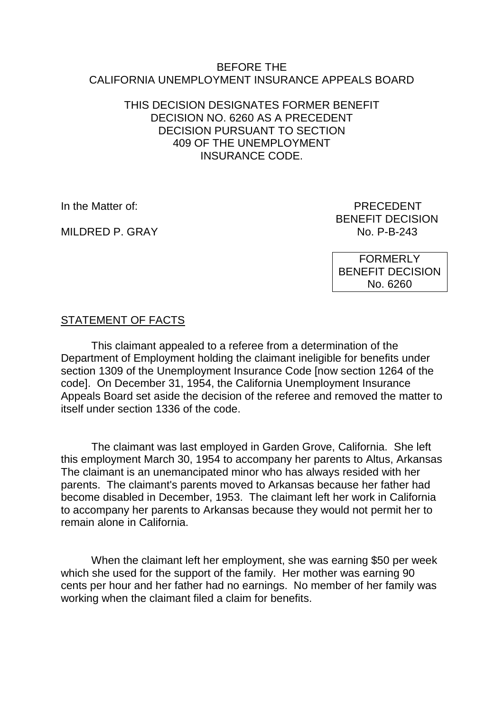#### BEFORE THE CALIFORNIA UNEMPLOYMENT INSURANCE APPEALS BOARD

### THIS DECISION DESIGNATES FORMER BENEFIT DECISION NO. 6260 AS A PRECEDENT DECISION PURSUANT TO SECTION 409 OF THE UNEMPLOYMENT INSURANCE CODE.

MILDRED P. GRAY

In the Matter of: PRECEDENT BENEFIT DECISION<br>No. P-B-243

> FORMERLY BENEFIT DECISION No. 6260

# STATEMENT OF FACTS

This claimant appealed to a referee from a determination of the Department of Employment holding the claimant ineligible for benefits under section 1309 of the Unemployment Insurance Code [now section 1264 of the code]. On December 31, 1954, the California Unemployment Insurance Appeals Board set aside the decision of the referee and removed the matter to itself under section 1336 of the code.

The claimant was last employed in Garden Grove, California. She left this employment March 30, 1954 to accompany her parents to Altus, Arkansas The claimant is an unemancipated minor who has always resided with her parents. The claimant's parents moved to Arkansas because her father had become disabled in December, 1953. The claimant left her work in California to accompany her parents to Arkansas because they would not permit her to remain alone in California.

When the claimant left her employment, she was earning \$50 per week which she used for the support of the family. Her mother was earning 90 cents per hour and her father had no earnings. No member of her family was working when the claimant filed a claim for benefits.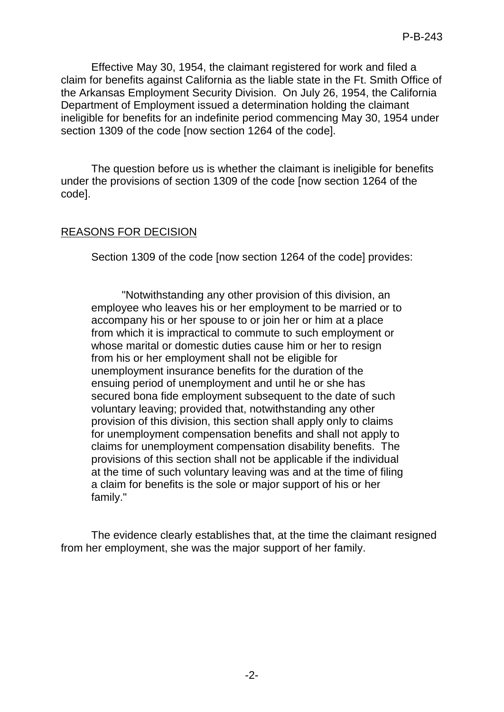Effective May 30, 1954, the claimant registered for work and filed a claim for benefits against California as the liable state in the Ft. Smith Office of the Arkansas Employment Security Division. On July 26, 1954, the California Department of Employment issued a determination holding the claimant ineligible for benefits for an indefinite period commencing May 30, 1954 under section 1309 of the code [now section 1264 of the code].

The question before us is whether the claimant is ineligible for benefits under the provisions of section 1309 of the code [now section 1264 of the code].

## REASONS FOR DECISION

Section 1309 of the code [now section 1264 of the code] provides:

"Notwithstanding any other provision of this division, an employee who leaves his or her employment to be married or to accompany his or her spouse to or join her or him at a place from which it is impractical to commute to such employment or whose marital or domestic duties cause him or her to resign from his or her employment shall not be eligible for unemployment insurance benefits for the duration of the ensuing period of unemployment and until he or she has secured bona fide employment subsequent to the date of such voluntary leaving; provided that, notwithstanding any other provision of this division, this section shall apply only to claims for unemployment compensation benefits and shall not apply to claims for unemployment compensation disability benefits. The provisions of this section shall not be applicable if the individual at the time of such voluntary leaving was and at the time of filing a claim for benefits is the sole or major support of his or her family."

The evidence clearly establishes that, at the time the claimant resigned from her employment, she was the major support of her family.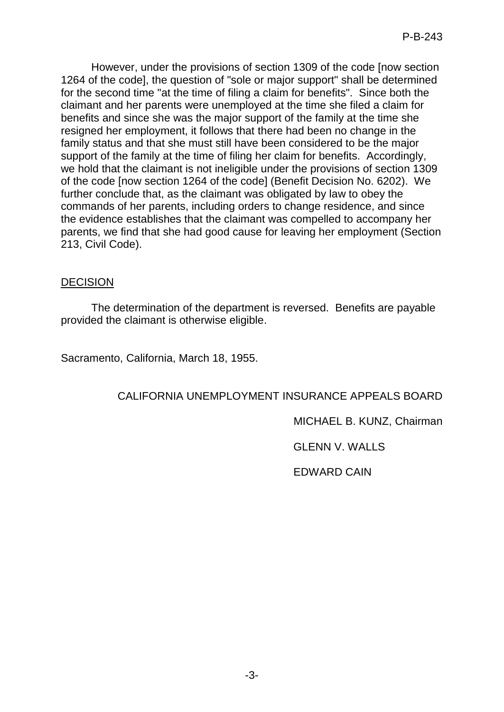However, under the provisions of section 1309 of the code [now section 1264 of the code], the question of "sole or major support" shall be determined for the second time "at the time of filing a claim for benefits". Since both the claimant and her parents were unemployed at the time she filed a claim for benefits and since she was the major support of the family at the time she resigned her employment, it follows that there had been no change in the family status and that she must still have been considered to be the major support of the family at the time of filing her claim for benefits. Accordingly, we hold that the claimant is not ineligible under the provisions of section 1309 of the code [now section 1264 of the code] (Benefit Decision No. 6202). We further conclude that, as the claimant was obligated by law to obey the commands of her parents, including orders to change residence, and since the evidence establishes that the claimant was compelled to accompany her parents, we find that she had good cause for leaving her employment (Section 213, Civil Code).

## **DECISION**

The determination of the department is reversed. Benefits are payable provided the claimant is otherwise eligible.

Sacramento, California, March 18, 1955.

# CALIFORNIA UNEMPLOYMENT INSURANCE APPEALS BOARD

MICHAEL B. KUNZ, Chairman

GLENN V. WALLS

EDWARD CAIN